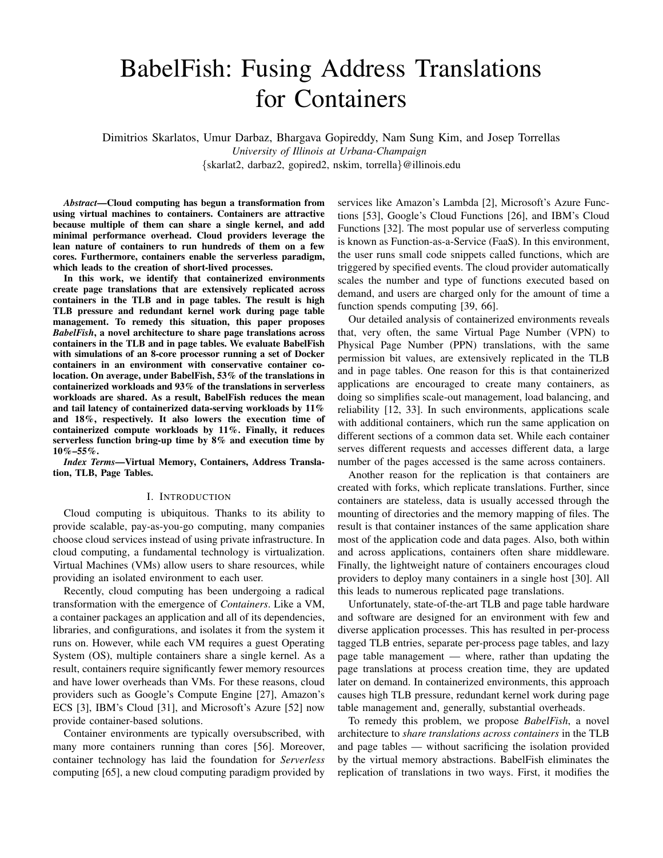# BabelFish: Fusing Address Translations for Containers

Dimitrios Skarlatos, Umur Darbaz, Bhargava Gopireddy, Nam Sung Kim, and Josep Torrellas *University of Illinois at Urbana-Champaign* {skarlat2, darbaz2, gopired2, nskim, torrella}@illinois.edu

*Abstract*—Cloud computing has begun a transformation from using virtual machines to containers. Containers are attractive because multiple of them can share a single kernel, and add minimal performance overhead. Cloud providers leverage the lean nature of containers to run hundreds of them on a few cores. Furthermore, containers enable the serverless paradigm, which leads to the creation of short-lived processes.

In this work, we identify that containerized environments create page translations that are extensively replicated across containers in the TLB and in page tables. The result is high TLB pressure and redundant kernel work during page table management. To remedy this situation, this paper proposes *BabelFish*, a novel architecture to share page translations across containers in the TLB and in page tables. We evaluate BabelFish with simulations of an 8-core processor running a set of Docker containers in an environment with conservative container colocation. On average, under BabelFish, 53% of the translations in containerized workloads and 93% of the translations in serverless workloads are shared. As a result, BabelFish reduces the mean and tail latency of containerized data-serving workloads by 11% and 18%, respectively. It also lowers the execution time of containerized compute workloads by 11%. Finally, it reduces serverless function bring-up time by 8% and execution time by 10%–55%.

*Index Terms*—Virtual Memory, Containers, Address Translation, TLB, Page Tables.

#### I. INTRODUCTION

Cloud computing is ubiquitous. Thanks to its ability to provide scalable, pay-as-you-go computing, many companies choose cloud services instead of using private infrastructure. In cloud computing, a fundamental technology is virtualization. Virtual Machines (VMs) allow users to share resources, while providing an isolated environment to each user.

Recently, cloud computing has been undergoing a radical transformation with the emergence of *Containers*. Like a VM, a container packages an application and all of its dependencies, libraries, and configurations, and isolates it from the system it runs on. However, while each VM requires a guest Operating System (OS), multiple containers share a single kernel. As a result, containers require significantly fewer memory resources and have lower overheads than VMs. For these reasons, cloud providers such as Google's Compute Engine [27], Amazon's ECS [3], IBM's Cloud [31], and Microsoft's Azure [52] now provide container-based solutions.

Container environments are typically oversubscribed, with many more containers running than cores [56]. Moreover, container technology has laid the foundation for *Serverless* computing [65], a new cloud computing paradigm provided by services like Amazon's Lambda [2], Microsoft's Azure Functions [53], Google's Cloud Functions [26], and IBM's Cloud Functions [32]. The most popular use of serverless computing is known as Function-as-a-Service (FaaS). In this environment, the user runs small code snippets called functions, which are triggered by specified events. The cloud provider automatically scales the number and type of functions executed based on demand, and users are charged only for the amount of time a function spends computing [39, 66].

Our detailed analysis of containerized environments reveals that, very often, the same Virtual Page Number (VPN) to Physical Page Number (PPN) translations, with the same permission bit values, are extensively replicated in the TLB and in page tables. One reason for this is that containerized applications are encouraged to create many containers, as doing so simplifies scale-out management, load balancing, and reliability [12, 33]. In such environments, applications scale with additional containers, which run the same application on different sections of a common data set. While each container serves different requests and accesses different data, a large number of the pages accessed is the same across containers.

Another reason for the replication is that containers are created with forks, which replicate translations. Further, since containers are stateless, data is usually accessed through the mounting of directories and the memory mapping of files. The result is that container instances of the same application share most of the application code and data pages. Also, both within and across applications, containers often share middleware. Finally, the lightweight nature of containers encourages cloud providers to deploy many containers in a single host [30]. All this leads to numerous replicated page translations.

Unfortunately, state-of-the-art TLB and page table hardware and software are designed for an environment with few and diverse application processes. This has resulted in per-process tagged TLB entries, separate per-process page tables, and lazy page table management — where, rather than updating the page translations at process creation time, they are updated later on demand. In containerized environments, this approach causes high TLB pressure, redundant kernel work during page table management and, generally, substantial overheads.

To remedy this problem, we propose *BabelFish*, a novel architecture to *share translations across containers* in the TLB and page tables — without sacrificing the isolation provided by the virtual memory abstractions. BabelFish eliminates the replication of translations in two ways. First, it modifies the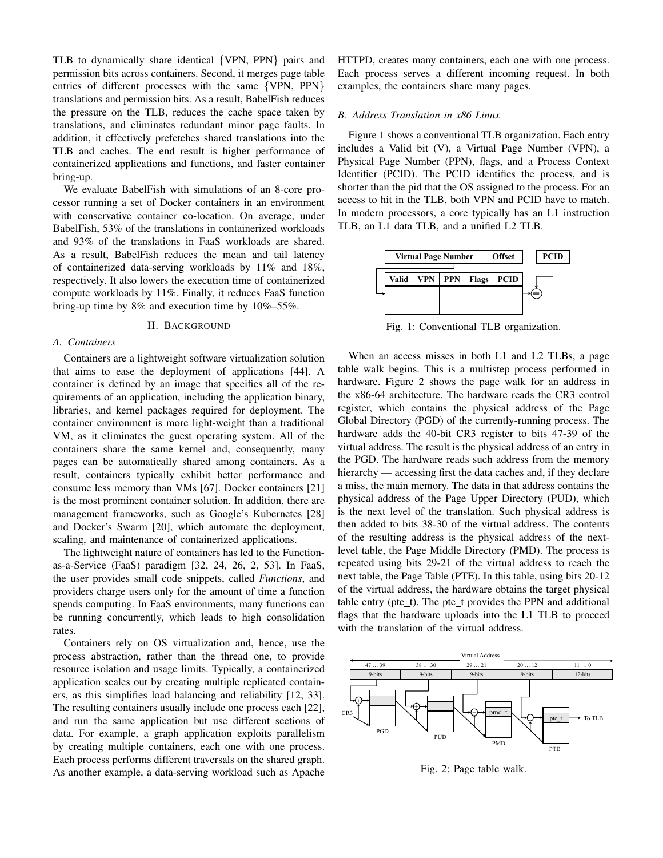TLB to dynamically share identical {VPN, PPN} pairs and permission bits across containers. Second, it merges page table entries of different processes with the same {VPN, PPN} translations and permission bits. As a result, BabelFish reduces the pressure on the TLB, reduces the cache space taken by translations, and eliminates redundant minor page faults. In addition, it effectively prefetches shared translations into the TLB and caches. The end result is higher performance of containerized applications and functions, and faster container bring-up.

We evaluate BabelFish with simulations of an 8-core processor running a set of Docker containers in an environment with conservative container co-location. On average, under BabelFish, 53% of the translations in containerized workloads and 93% of the translations in FaaS workloads are shared. As a result, BabelFish reduces the mean and tail latency of containerized data-serving workloads by 11% and 18%, respectively. It also lowers the execution time of containerized compute workloads by 11%. Finally, it reduces FaaS function bring-up time by 8% and execution time by 10%–55%.

#### II. BACKGROUND

#### *A. Containers*

Containers are a lightweight software virtualization solution that aims to ease the deployment of applications [44]. A container is defined by an image that specifies all of the requirements of an application, including the application binary, libraries, and kernel packages required for deployment. The container environment is more light-weight than a traditional VM, as it eliminates the guest operating system. All of the containers share the same kernel and, consequently, many pages can be automatically shared among containers. As a result, containers typically exhibit better performance and consume less memory than VMs [67]. Docker containers [21] is the most prominent container solution. In addition, there are management frameworks, such as Google's Kubernetes [28] and Docker's Swarm [20], which automate the deployment, scaling, and maintenance of containerized applications.

The lightweight nature of containers has led to the Functionas-a-Service (FaaS) paradigm [32, 24, 26, 2, 53]. In FaaS, the user provides small code snippets, called *Functions*, and providers charge users only for the amount of time a function spends computing. In FaaS environments, many functions can be running concurrently, which leads to high consolidation rates.

Containers rely on OS virtualization and, hence, use the process abstraction, rather than the thread one, to provide resource isolation and usage limits. Typically, a containerized application scales out by creating multiple replicated containers, as this simplifies load balancing and reliability [12, 33]. The resulting containers usually include one process each [22], and run the same application but use different sections of data. For example, a graph application exploits parallelism by creating multiple containers, each one with one process. Each process performs different traversals on the shared graph. As another example, a data-serving workload such as Apache HTTPD, creates many containers, each one with one process. Each process serves a different incoming request. In both examples, the containers share many pages.

## *B. Address Translation in x86 Linux*

Figure 1 shows a conventional TLB organization. Each entry includes a Valid bit (V), a Virtual Page Number (VPN), a Physical Page Number (PPN), flags, and a Process Context Identifier (PCID). The PCID identifies the process, and is shorter than the pid that the OS assigned to the process. For an access to hit in the TLB, both VPN and PCID have to match. In modern processors, a core typically has an L1 instruction TLB, an L1 data TLB, and a unified L2 TLB.



Fig. 1: Conventional TLB organization.

When an access misses in both L1 and L2 TLBs, a page table walk begins. This is a multistep process performed in hardware. Figure 2 shows the page walk for an address in the x86-64 architecture. The hardware reads the CR3 control register, which contains the physical address of the Page Global Directory (PGD) of the currently-running process. The hardware adds the 40-bit CR3 register to bits 47-39 of the virtual address. The result is the physical address of an entry in the PGD. The hardware reads such address from the memory hierarchy — accessing first the data caches and, if they declare a miss, the main memory. The data in that address contains the physical address of the Page Upper Directory (PUD), which is the next level of the translation. Such physical address is then added to bits 38-30 of the virtual address. The contents of the resulting address is the physical address of the nextlevel table, the Page Middle Directory (PMD). The process is repeated using bits 29-21 of the virtual address to reach the next table, the Page Table (PTE). In this table, using bits 20-12 of the virtual address, the hardware obtains the target physical table entry (pte $_t$ ). The pte $_t$  provides the PPN and additional flags that the hardware uploads into the L1 TLB to proceed with the translation of the virtual address.



Fig. 2: Page table walk.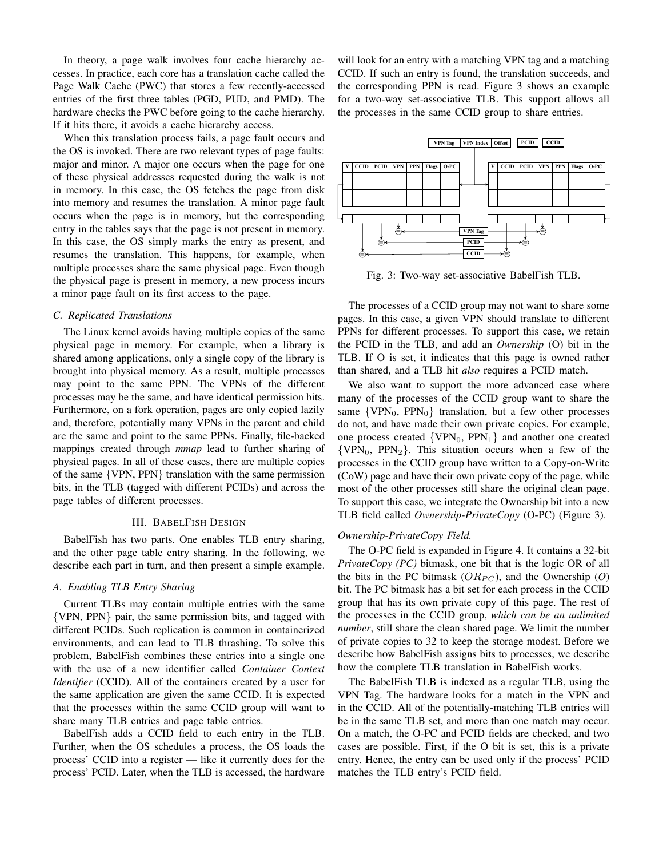In theory, a page walk involves four cache hierarchy accesses. In practice, each core has a translation cache called the Page Walk Cache (PWC) that stores a few recently-accessed entries of the first three tables (PGD, PUD, and PMD). The hardware checks the PWC before going to the cache hierarchy. If it hits there, it avoids a cache hierarchy access.

When this translation process fails, a page fault occurs and the OS is invoked. There are two relevant types of page faults: major and minor. A major one occurs when the page for one of these physical addresses requested during the walk is not in memory. In this case, the OS fetches the page from disk into memory and resumes the translation. A minor page fault occurs when the page is in memory, but the corresponding entry in the tables says that the page is not present in memory. In this case, the OS simply marks the entry as present, and resumes the translation. This happens, for example, when multiple processes share the same physical page. Even though the physical page is present in memory, a new process incurs a minor page fault on its first access to the page.

# *C. Replicated Translations*

The Linux kernel avoids having multiple copies of the same physical page in memory. For example, when a library is shared among applications, only a single copy of the library is brought into physical memory. As a result, multiple processes may point to the same PPN. The VPNs of the different processes may be the same, and have identical permission bits. Furthermore, on a fork operation, pages are only copied lazily and, therefore, potentially many VPNs in the parent and child are the same and point to the same PPNs. Finally, file-backed mappings created through *mmap* lead to further sharing of physical pages. In all of these cases, there are multiple copies of the same {VPN, PPN} translation with the same permission bits, in the TLB (tagged with different PCIDs) and across the page tables of different processes.

#### III. BABELFISH DESIGN

BabelFish has two parts. One enables TLB entry sharing, and the other page table entry sharing. In the following, we describe each part in turn, and then present a simple example.

# *A. Enabling TLB Entry Sharing*

Current TLBs may contain multiple entries with the same {VPN, PPN} pair, the same permission bits, and tagged with different PCIDs. Such replication is common in containerized environments, and can lead to TLB thrashing. To solve this problem, BabelFish combines these entries into a single one with the use of a new identifier called *Container Context Identifier* (CCID). All of the containers created by a user for the same application are given the same CCID. It is expected that the processes within the same CCID group will want to share many TLB entries and page table entries.

BabelFish adds a CCID field to each entry in the TLB. Further, when the OS schedules a process, the OS loads the process' CCID into a register — like it currently does for the process' PCID. Later, when the TLB is accessed, the hardware will look for an entry with a matching VPN tag and a matching CCID. If such an entry is found, the translation succeeds, and the corresponding PPN is read. Figure 3 shows an example for a two-way set-associative TLB. This support allows all the processes in the same CCID group to share entries.



Fig. 3: Two-way set-associative BabelFish TLB.

The processes of a CCID group may not want to share some pages. In this case, a given VPN should translate to different PPNs for different processes. To support this case, we retain the PCID in the TLB, and add an *Ownership* (O) bit in the TLB. If O is set, it indicates that this page is owned rather than shared, and a TLB hit *also* requires a PCID match.

We also want to support the more advanced case where many of the processes of the CCID group want to share the same  $\{VPN_0, PPN_0\}$  translation, but a few other processes do not, and have made their own private copies. For example, one process created  $\{VPN_0, PPN_1\}$  and another one created  $\{VPN_0, PPN_2\}$ . This situation occurs when a few of the processes in the CCID group have written to a Copy-on-Write (CoW) page and have their own private copy of the page, while most of the other processes still share the original clean page. To support this case, we integrate the Ownership bit into a new TLB field called *Ownership-PrivateCopy* (O-PC) (Figure 3).

#### *Ownership-PrivateCopy Field.*

The O-PC field is expanded in Figure 4. It contains a 32-bit *PrivateCopy (PC)* bitmask, one bit that is the logic OR of all the bits in the PC bitmask  $(OR_{PC})$ , and the Ownership  $(O)$ bit. The PC bitmask has a bit set for each process in the CCID group that has its own private copy of this page. The rest of the processes in the CCID group, *which can be an unlimited number*, still share the clean shared page. We limit the number of private copies to 32 to keep the storage modest. Before we describe how BabelFish assigns bits to processes, we describe how the complete TLB translation in BabelFish works.

The BabelFish TLB is indexed as a regular TLB, using the VPN Tag. The hardware looks for a match in the VPN and in the CCID. All of the potentially-matching TLB entries will be in the same TLB set, and more than one match may occur. On a match, the O-PC and PCID fields are checked, and two cases are possible. First, if the O bit is set, this is a private entry. Hence, the entry can be used only if the process' PCID matches the TLB entry's PCID field.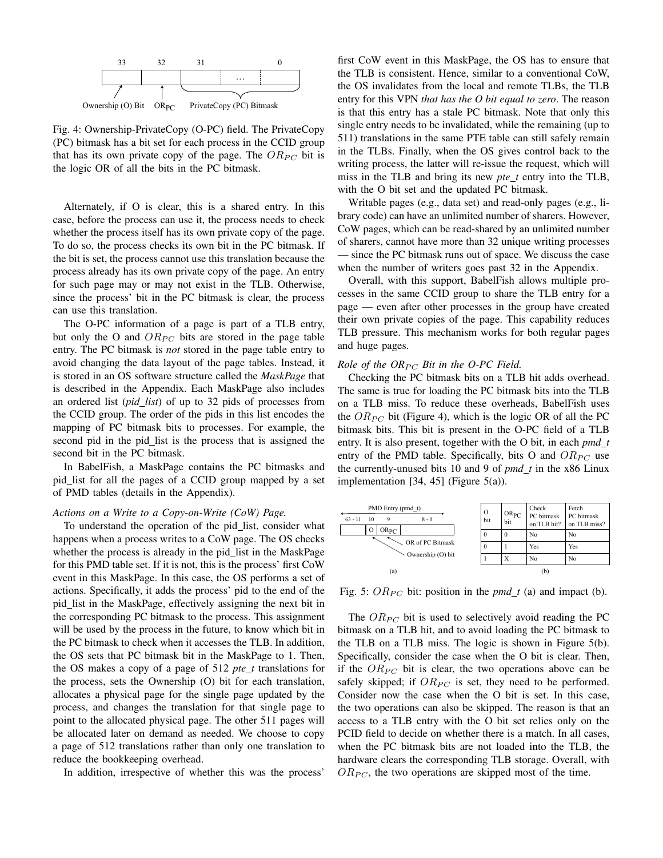

Fig. 4: Ownership-PrivateCopy (O-PC) field. The PrivateCopy (PC) bitmask has a bit set for each process in the CCID group that has its own private copy of the page. The  $OR_{PC}$  bit is the logic OR of all the bits in the PC bitmask.

Alternately, if O is clear, this is a shared entry. In this case, before the process can use it, the process needs to check whether the process itself has its own private copy of the page. To do so, the process checks its own bit in the PC bitmask. If the bit is set, the process cannot use this translation because the process already has its own private copy of the page. An entry for such page may or may not exist in the TLB. Otherwise, since the process' bit in the PC bitmask is clear, the process can use this translation.

The O-PC information of a page is part of a TLB entry, but only the O and  $OR_{PC}$  bits are stored in the page table entry. The PC bitmask is *not* stored in the page table entry to avoid changing the data layout of the page tables. Instead, it is stored in an OS software structure called the *MaskPage* that is described in the Appendix. Each MaskPage also includes an ordered list (*pid list*) of up to 32 pids of processes from the CCID group. The order of the pids in this list encodes the mapping of PC bitmask bits to processes. For example, the second pid in the pid list is the process that is assigned the second bit in the PC bitmask.

In BabelFish, a MaskPage contains the PC bitmasks and pid list for all the pages of a CCID group mapped by a set of PMD tables (details in the Appendix).

## *Actions on a Write to a Copy-on-Write (CoW) Page.*

To understand the operation of the pid list, consider what happens when a process writes to a CoW page. The OS checks whether the process is already in the pid\_list in the MaskPage for this PMD table set. If it is not, this is the process' first CoW event in this MaskPage. In this case, the OS performs a set of actions. Specifically, it adds the process' pid to the end of the pid list in the MaskPage, effectively assigning the next bit in the corresponding PC bitmask to the process. This assignment will be used by the process in the future, to know which bit in the PC bitmask to check when it accesses the TLB. In addition, the OS sets that PC bitmask bit in the MaskPage to 1. Then, the OS makes a copy of a page of 512 *pte t* translations for the process, sets the Ownership (O) bit for each translation, allocates a physical page for the single page updated by the process, and changes the translation for that single page to point to the allocated physical page. The other 511 pages will be allocated later on demand as needed. We choose to copy a page of 512 translations rather than only one translation to reduce the bookkeeping overhead.

In addition, irrespective of whether this was the process'

first CoW event in this MaskPage, the OS has to ensure that the TLB is consistent. Hence, similar to a conventional CoW, the OS invalidates from the local and remote TLBs, the TLB entry for this VPN *that has the O bit equal to zero*. The reason is that this entry has a stale PC bitmask. Note that only this single entry needs to be invalidated, while the remaining (up to 511) translations in the same PTE table can still safely remain in the TLBs. Finally, when the OS gives control back to the writing process, the latter will re-issue the request, which will miss in the TLB and bring its new *pte t* entry into the TLB, with the O bit set and the updated PC bitmask.

Writable pages (e.g., data set) and read-only pages (e.g., library code) can have an unlimited number of sharers. However, CoW pages, which can be read-shared by an unlimited number of sharers, cannot have more than 32 unique writing processes — since the PC bitmask runs out of space. We discuss the case when the number of writers goes past 32 in the Appendix.

Overall, with this support, BabelFish allows multiple processes in the same CCID group to share the TLB entry for a page — even after other processes in the group have created their own private copies of the page. This capability reduces TLB pressure. This mechanism works for both regular pages and huge pages.

#### *Role of the*  $OR_{PC}$  *Bit in the O-PC Field.*

Checking the PC bitmask bits on a TLB hit adds overhead. The same is true for loading the PC bitmask bits into the TLB on a TLB miss. To reduce these overheads, BabelFish uses the  $OR_{PC}$  bit (Figure 4), which is the logic OR of all the PC bitmask bits. This bit is present in the O-PC field of a TLB entry. It is also present, together with the O bit, in each *pmd t* entry of the PMD table. Specifically, bits O and  $OR_{PC}$  use the currently-unused bits 10 and 9 of *pmd t* in the x86 Linux implementation [34, 45] (Figure 5(a)).



Fig. 5:  $OR_{PC}$  bit: position in the  $pmd_t$  (a) and impact (b).

The  $OR_{PC}$  bit is used to selectively avoid reading the PC bitmask on a TLB hit, and to avoid loading the PC bitmask to the TLB on a TLB miss. The logic is shown in Figure 5(b). Specifically, consider the case when the O bit is clear. Then, if the  $OR_{PC}$  bit is clear, the two operations above can be safely skipped; if  $OR_{PC}$  is set, they need to be performed. Consider now the case when the O bit is set. In this case, the two operations can also be skipped. The reason is that an access to a TLB entry with the O bit set relies only on the PCID field to decide on whether there is a match. In all cases, when the PC bitmask bits are not loaded into the TLB, the hardware clears the corresponding TLB storage. Overall, with  $OR_{PC}$ , the two operations are skipped most of the time.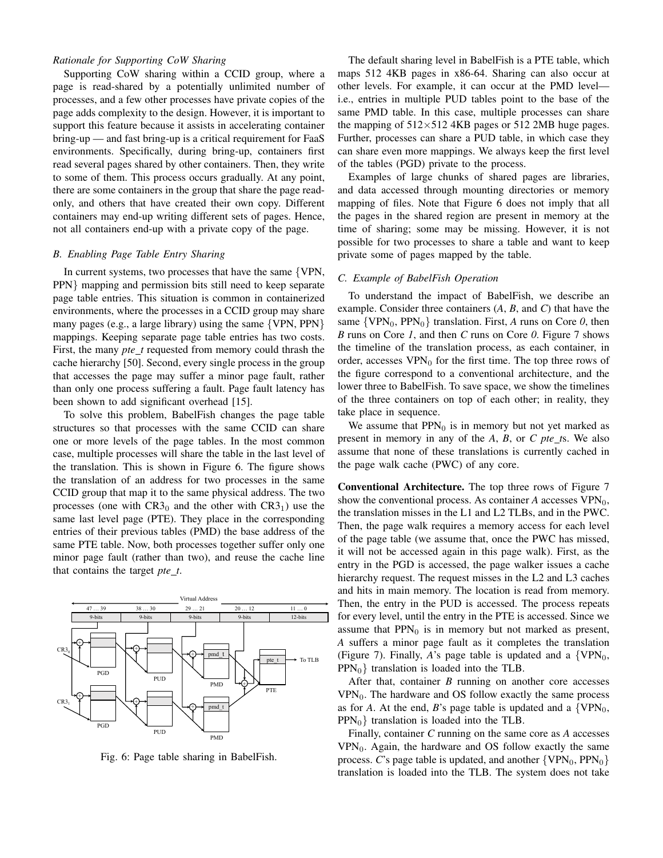# *Rationale for Supporting CoW Sharing*

Supporting CoW sharing within a CCID group, where a page is read-shared by a potentially unlimited number of processes, and a few other processes have private copies of the page adds complexity to the design. However, it is important to support this feature because it assists in accelerating container bring-up — and fast bring-up is a critical requirement for FaaS environments. Specifically, during bring-up, containers first read several pages shared by other containers. Then, they write to some of them. This process occurs gradually. At any point, there are some containers in the group that share the page readonly, and others that have created their own copy. Different containers may end-up writing different sets of pages. Hence, not all containers end-up with a private copy of the page.

### *B. Enabling Page Table Entry Sharing*

In current systems, two processes that have the same {VPN, PPN} mapping and permission bits still need to keep separate page table entries. This situation is common in containerized environments, where the processes in a CCID group may share many pages (e.g., a large library) using the same {VPN, PPN} mappings. Keeping separate page table entries has two costs. First, the many *pte\_t* requested from memory could thrash the cache hierarchy [50]. Second, every single process in the group that accesses the page may suffer a minor page fault, rather than only one process suffering a fault. Page fault latency has been shown to add significant overhead [15].

To solve this problem, BabelFish changes the page table structures so that processes with the same CCID can share one or more levels of the page tables. In the most common case, multiple processes will share the table in the last level of the translation. This is shown in Figure 6. The figure shows the translation of an address for two processes in the same CCID group that map it to the same physical address. The two processes (one with  $CR3<sub>0</sub>$  and the other with  $CR3<sub>1</sub>$ ) use the same last level page (PTE). They place in the corresponding entries of their previous tables (PMD) the base address of the same PTE table. Now, both processes together suffer only one minor page fault (rather than two), and reuse the cache line that contains the target *pte t*.



Fig. 6: Page table sharing in BabelFish.

The default sharing level in BabelFish is a PTE table, which maps 512 4KB pages in x86-64. Sharing can also occur at other levels. For example, it can occur at the PMD level i.e., entries in multiple PUD tables point to the base of the same PMD table. In this case, multiple processes can share the mapping of  $512\times512$  4KB pages or 512 2MB huge pages. Further, processes can share a PUD table, in which case they can share even more mappings. We always keep the first level of the tables (PGD) private to the process.

Examples of large chunks of shared pages are libraries, and data accessed through mounting directories or memory mapping of files. Note that Figure 6 does not imply that all the pages in the shared region are present in memory at the time of sharing; some may be missing. However, it is not possible for two processes to share a table and want to keep private some of pages mapped by the table.

# *C. Example of BabelFish Operation*

To understand the impact of BabelFish, we describe an example. Consider three containers (*A*, *B*, and *C*) that have the same  $\{VPN_0, PPN_0\}$  translation. First, *A* runs on Core *0*, then *B* runs on Core *1*, and then *C* runs on Core *0*. Figure 7 shows the timeline of the translation process, as each container, in order, accesses  $VPN_0$  for the first time. The top three rows of the figure correspond to a conventional architecture, and the lower three to BabelFish. To save space, we show the timelines of the three containers on top of each other; in reality, they take place in sequence.

We assume that  $PPN_0$  is in memory but not yet marked as present in memory in any of the *A*, *B*, or *C pte t*s. We also assume that none of these translations is currently cached in the page walk cache (PWC) of any core.

Conventional Architecture. The top three rows of Figure 7 show the conventional process. As container  $A$  accesses  $VPN_0$ , the translation misses in the L1 and L2 TLBs, and in the PWC. Then, the page walk requires a memory access for each level of the page table (we assume that, once the PWC has missed, it will not be accessed again in this page walk). First, as the entry in the PGD is accessed, the page walker issues a cache hierarchy request. The request misses in the L2 and L3 caches and hits in main memory. The location is read from memory. Then, the entry in the PUD is accessed. The process repeats for every level, until the entry in the PTE is accessed. Since we assume that  $PPN_0$  is in memory but not marked as present, *A* suffers a minor page fault as it completes the translation (Figure 7). Finally, *A*'s page table is updated and a  $\{VPN_0,$  $PPN_0$ } translation is loaded into the TLB.

After that, container *B* running on another core accesses  $VPN_0$ . The hardware and OS follow exactly the same process as for *A*. At the end, *B*'s page table is updated and a  $\{VPN_0,$  $PPN_0$ } translation is loaded into the TLB.

Finally, container *C* running on the same core as *A* accesses  $VPN_0$ . Again, the hardware and OS follow exactly the same process. *C*'s page table is updated, and another  $\{VPN_0, PPN_0\}$ translation is loaded into the TLB. The system does not take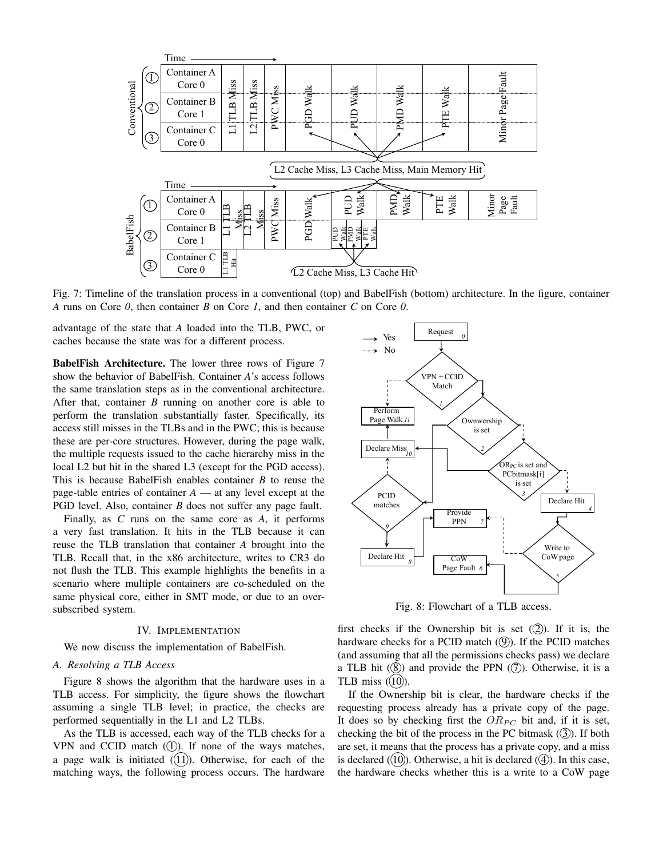

Fig. 7: Timeline of the translation process in a conventional (top) and BabelFish (bottom) architecture. In the figure, container *A* runs on Core *0*, then container *B* on Core *1*, and then container *C* on Core *0*.

advantage of the state that *A* loaded into the TLB, PWC, or caches because the state was for a different process.

BabelFish Architecture. The lower three rows of Figure 7 show the behavior of BabelFish. Container *A*'s access follows the same translation steps as in the conventional architecture. After that, container *B* running on another core is able to perform the translation substantially faster. Specifically, its access still misses in the TLBs and in the PWC; this is because these are per-core structures. However, during the page walk, the multiple requests issued to the cache hierarchy miss in the local L2 but hit in the shared L3 (except for the PGD access). This is because BabelFish enables container *B* to reuse the page-table entries of container *A* — at any level except at the PGD level. Also, container *B* does not suffer any page fault.

Finally, as *C* runs on the same core as *A*, it performs a very fast translation. It hits in the TLB because it can reuse the TLB translation that container *A* brought into the TLB. Recall that, in the x86 architecture, writes to CR3 do not flush the TLB. This example highlights the benefits in a scenario where multiple containers are co-scheduled on the same physical core, either in SMT mode, or due to an oversubscribed system.

#### IV. IMPLEMENTATION

We now discuss the implementation of BabelFish.

#### *A. Resolving a TLB Access*

Figure 8 shows the algorithm that the hardware uses in a TLB access. For simplicity, the figure shows the flowchart assuming a single TLB level; in practice, the checks are performed sequentially in the L1 and L2 TLBs.

As the TLB is accessed, each way of the TLB checks for a VPN and CCID match  $(1)$ . If none of the ways matches, a page walk is initiated  $(11)$ . Otherwise, for each of the matching ways, the following process occurs. The hardware



Fig. 8: Flowchart of a TLB access.

first checks if the Ownership bit is set  $(2)$ ). If it is, the hardware checks for a PCID match  $(9)$ ). If the PCID matches (and assuming that all the permissions checks pass) we declare a TLB hit  $(8)$  and provide the PPN  $(7)$ ). Otherwise, it is a TLB miss  $(10)$ ).

If the Ownership bit is clear, the hardware checks if the requesting process already has a private copy of the page. It does so by checking first the  $OR_{PC}$  bit and, if it is set, checking the bit of the process in the PC bitmask  $(3)$ . If both are set, it means that the process has a private copy, and a miss is declared  $(10)$ ). Otherwise, a hit is declared  $(4)$ ). In this case, the hardware checks whether this is a write to a CoW page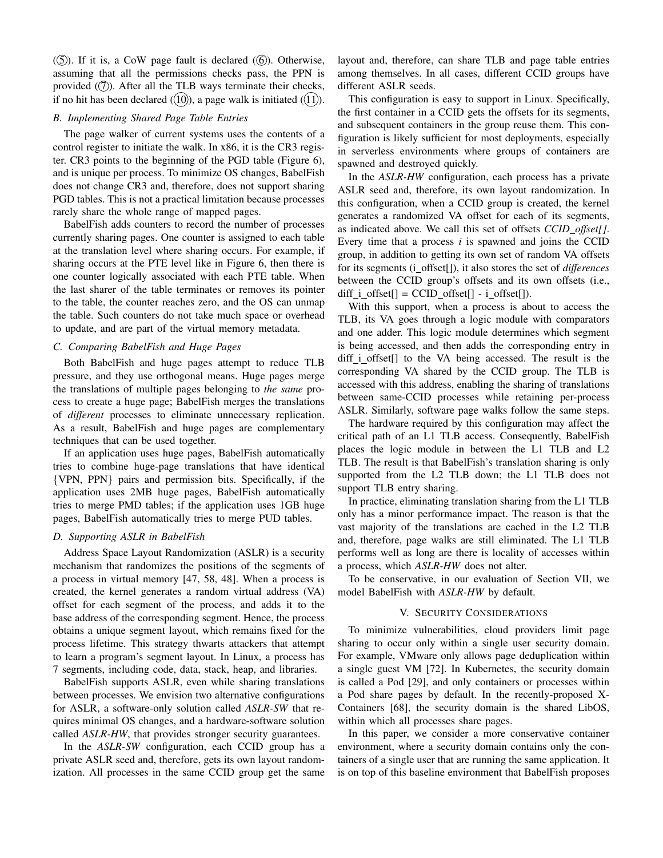$(5)$ ). If it is, a CoW page fault is declared  $(6)$ ). Otherwise, assuming that all the permissions checks pass, the PPN is provided  $(2)$ . After all the TLB ways terminate their checks, if no hit has been declared  $(10)$ , a page walk is initiated  $(11)$ .

# *B. Implementing Shared Page Table Entries*

The page walker of current systems uses the contents of a control register to initiate the walk. In x86, it is the CR3 register. CR3 points to the beginning of the PGD table (Figure 6), and is unique per process. To minimize OS changes, BabelFish does not change CR3 and, therefore, does not support sharing PGD tables. This is not a practical limitation because processes rarely share the whole range of mapped pages.

BabelFish adds counters to record the number of processes currently sharing pages. One counter is assigned to each table at the translation level where sharing occurs. For example, if sharing occurs at the PTE level like in Figure 6, then there is one counter logically associated with each PTE table. When the last sharer of the table terminates or removes its pointer to the table, the counter reaches zero, and the OS can unmap the table. Such counters do not take much space or overhead to update, and are part of the virtual memory metadata.

#### *C. Comparing BabelFish and Huge Pages*

Both BabelFish and huge pages attempt to reduce TLB pressure, and they use orthogonal means. Huge pages merge the translations of multiple pages belonging to *the same* process to create a huge page; BabelFish merges the translations of *different* processes to eliminate unnecessary replication. As a result, BabelFish and huge pages are complementary techniques that can be used together.

If an application uses huge pages, BabelFish automatically tries to combine huge-page translations that have identical {VPN, PPN} pairs and permission bits. Specifically, if the application uses 2MB huge pages, BabelFish automatically tries to merge PMD tables; if the application uses 1GB huge pages, BabelFish automatically tries to merge PUD tables.

# *D. Supporting ASLR in BabelFish*

Address Space Layout Randomization (ASLR) is a security mechanism that randomizes the positions of the segments of a process in virtual memory [47, 58, 48]. When a process is created, the kernel generates a random virtual address (VA) offset for each segment of the process, and adds it to the base address of the corresponding segment. Hence, the process obtains a unique segment layout, which remains fixed for the process lifetime. This strategy thwarts attackers that attempt to learn a program's segment layout. In Linux, a process has 7 segments, including code, data, stack, heap, and libraries.

BabelFish supports ASLR, even while sharing translations between processes. We envision two alternative configurations for ASLR, a software-only solution called *ASLR-SW* that requires minimal OS changes, and a hardware-software solution called *ASLR-HW*, that provides stronger security guarantees.

In the *ASLR-SW* configuration, each CCID group has a private ASLR seed and, therefore, gets its own layout randomization. All processes in the same CCID group get the same layout and, therefore, can share TLB and page table entries among themselves. In all cases, different CCID groups have different ASLR seeds.

This configuration is easy to support in Linux. Specifically, the first container in a CCID gets the offsets for its segments, and subsequent containers in the group reuse them. This configuration is likely sufficient for most deployments, especially in serverless environments where groups of containers are spawned and destroyed quickly.

In the *ASLR-HW* configuration, each process has a private ASLR seed and, therefore, its own layout randomization. In this configuration, when a CCID group is created, the kernel generates a randomized VA offset for each of its segments, as indicated above. We call this set of offsets *CCID offset[]*. Every time that a process *i* is spawned and joins the CCID group, in addition to getting its own set of random VA offsets for its segments (i offset[]), it also stores the set of *differences* between the CCID group's offsets and its own offsets (i.e., diff  $i$  offset[] = CCID offset[] -  $i$  offset[]).

With this support, when a process is about to access the TLB, its VA goes through a logic module with comparators and one adder. This logic module determines which segment is being accessed, and then adds the corresponding entry in diff i offset<sup>[]</sup> to the VA being accessed. The result is the corresponding VA shared by the CCID group. The TLB is accessed with this address, enabling the sharing of translations between same-CCID processes while retaining per-process ASLR. Similarly, software page walks follow the same steps.

The hardware required by this configuration may affect the critical path of an L1 TLB access. Consequently, BabelFish places the logic module in between the L1 TLB and L2 TLB. The result is that BabelFish's translation sharing is only supported from the L2 TLB down; the L1 TLB does not support TLB entry sharing.

In practice, eliminating translation sharing from the L1 TLB only has a minor performance impact. The reason is that the vast majority of the translations are cached in the L2 TLB and, therefore, page walks are still eliminated. The L1 TLB performs well as long are there is locality of accesses within a process, which *ASLR-HW* does not alter.

To be conservative, in our evaluation of Section VII, we model BabelFish with *ASLR-HW* by default.

# V. SECURITY CONSIDERATIONS

To minimize vulnerabilities, cloud providers limit page sharing to occur only within a single user security domain. For example, VMware only allows page deduplication within a single guest VM [72]. In Kubernetes, the security domain is called a Pod [29], and only containers or processes within a Pod share pages by default. In the recently-proposed X-Containers [68], the security domain is the shared LibOS, within which all processes share pages.

In this paper, we consider a more conservative container environment, where a security domain contains only the containers of a single user that are running the same application. It is on top of this baseline environment that BabelFish proposes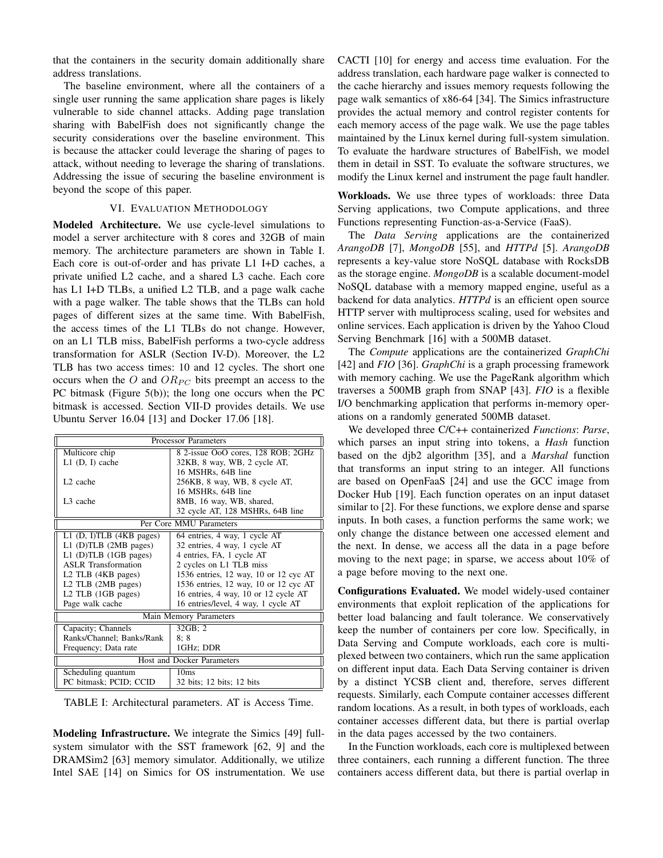that the containers in the security domain additionally share address translations.

The baseline environment, where all the containers of a single user running the same application share pages is likely vulnerable to side channel attacks. Adding page translation sharing with BabelFish does not significantly change the security considerations over the baseline environment. This is because the attacker could leverage the sharing of pages to attack, without needing to leverage the sharing of translations. Addressing the issue of securing the baseline environment is beyond the scope of this paper.

# VI. EVALUATION METHODOLOGY

Modeled Architecture. We use cycle-level simulations to model a server architecture with 8 cores and 32GB of main memory. The architecture parameters are shown in Table I. Each core is out-of-order and has private L1 I+D caches, a private unified L2 cache, and a shared L3 cache. Each core has L1 I+D TLBs, a unified L2 TLB, and a page walk cache with a page walker. The table shows that the TLBs can hold pages of different sizes at the same time. With BabelFish, the access times of the L1 TLBs do not change. However, on an L1 TLB miss, BabelFish performs a two-cycle address transformation for ASLR (Section IV-D). Moreover, the L2 TLB has two access times: 10 and 12 cycles. The short one occurs when the O and  $OR_{PC}$  bits preempt an access to the PC bitmask (Figure 5(b)); the long one occurs when the PC bitmask is accessed. Section VII-D provides details. We use Ubuntu Server 16.04 [13] and Docker 17.06 [18].

| <b>Processor Parameters</b>    |                                       |  |  |  |  |
|--------------------------------|---------------------------------------|--|--|--|--|
| Multicore chip                 | 8 2-issue OoO cores, 128 ROB; 2GHz    |  |  |  |  |
| $L1$ (D, I) cache              | 32KB, 8 way, WB, 2 cycle AT,          |  |  |  |  |
|                                | 16 MSHRs, 64B line                    |  |  |  |  |
| L <sub>2</sub> cache           | 256KB, 8 way, WB, 8 cycle AT,         |  |  |  |  |
|                                | 16 MSHRs, 64B line                    |  |  |  |  |
| L <sub>3</sub> cache           | 8MB, 16 way, WB, shared,              |  |  |  |  |
|                                | 32 cycle AT, 128 MSHRs, 64B line      |  |  |  |  |
| Per Core MMU Parameters        |                                       |  |  |  |  |
| L1 (D, I)TLB (4KB pages)       | 64 entries, 4 way, 1 cycle AT         |  |  |  |  |
| $L1$ (D)TLB (2MB pages)        | 32 entries, 4 way, 1 cycle AT         |  |  |  |  |
| $L1$ (D)TLB (1GB pages)        | 4 entries, FA, 1 cycle AT             |  |  |  |  |
| <b>ASLR</b> Transformation     | 2 cycles on L1 TLB miss               |  |  |  |  |
| L2 TLB (4KB pages)             | 1536 entries, 12 way, 10 or 12 cyc AT |  |  |  |  |
| L2 TLB (2MB pages)             | 1536 entries, 12 way, 10 or 12 cyc AT |  |  |  |  |
| L <sub>2</sub> TLB (1GB pages) | 16 entries, 4 way, 10 or 12 cycle AT  |  |  |  |  |
| Page walk cache                | 16 entries/level, 4 way, 1 cycle AT   |  |  |  |  |
| Main Memory Parameters         |                                       |  |  |  |  |
| Capacity; Channels             | 32GB:2                                |  |  |  |  |
| Ranks/Channel; Banks/Rank      | 8:8                                   |  |  |  |  |
| Frequency; Data rate           | 1GHz; DDR                             |  |  |  |  |
| Host and Docker Parameters     |                                       |  |  |  |  |
| Scheduling quantum             | 10ms                                  |  |  |  |  |
| PC bitmask; PCID; CCID         | 32 bits; 12 bits; 12 bits             |  |  |  |  |

TABLE I: Architectural parameters. AT is Access Time.

Modeling Infrastructure. We integrate the Simics [49] fullsystem simulator with the SST framework [62, 9] and the DRAMSim2 [63] memory simulator. Additionally, we utilize Intel SAE [14] on Simics for OS instrumentation. We use CACTI [10] for energy and access time evaluation. For the address translation, each hardware page walker is connected to the cache hierarchy and issues memory requests following the page walk semantics of x86-64 [34]. The Simics infrastructure provides the actual memory and control register contents for each memory access of the page walk. We use the page tables maintained by the Linux kernel during full-system simulation. To evaluate the hardware structures of BabelFish, we model them in detail in SST. To evaluate the software structures, we modify the Linux kernel and instrument the page fault handler.

Workloads. We use three types of workloads: three Data Serving applications, two Compute applications, and three Functions representing Function-as-a-Service (FaaS).

The *Data Serving* applications are the containerized *ArangoDB* [7], *MongoDB* [55], and *HTTPd* [5]. *ArangoDB* represents a key-value store NoSQL database with RocksDB as the storage engine. *MongoDB* is a scalable document-model NoSQL database with a memory mapped engine, useful as a backend for data analytics. *HTTPd* is an efficient open source HTTP server with multiprocess scaling, used for websites and online services. Each application is driven by the Yahoo Cloud Serving Benchmark [16] with a 500MB dataset.

The *Compute* applications are the containerized *GraphChi* [42] and *FIO* [36]. *GraphChi* is a graph processing framework with memory caching. We use the PageRank algorithm which traverses a 500MB graph from SNAP [43]. *FIO* is a flexible I/O benchmarking application that performs in-memory operations on a randomly generated 500MB dataset.

We developed three C/C++ containerized *Functions*: *Parse*, which parses an input string into tokens, a *Hash* function based on the djb2 algorithm [35], and a *Marshal* function that transforms an input string to an integer. All functions are based on OpenFaaS [24] and use the GCC image from Docker Hub [19]. Each function operates on an input dataset similar to [2]. For these functions, we explore dense and sparse inputs. In both cases, a function performs the same work; we only change the distance between one accessed element and the next. In dense, we access all the data in a page before moving to the next page; in sparse, we access about 10% of a page before moving to the next one.

Configurations Evaluated. We model widely-used container environments that exploit replication of the applications for better load balancing and fault tolerance. We conservatively keep the number of containers per core low. Specifically, in Data Serving and Compute workloads, each core is multiplexed between two containers, which run the same application on different input data. Each Data Serving container is driven by a distinct YCSB client and, therefore, serves different requests. Similarly, each Compute container accesses different random locations. As a result, in both types of workloads, each container accesses different data, but there is partial overlap in the data pages accessed by the two containers.

In the Function workloads, each core is multiplexed between three containers, each running a different function. The three containers access different data, but there is partial overlap in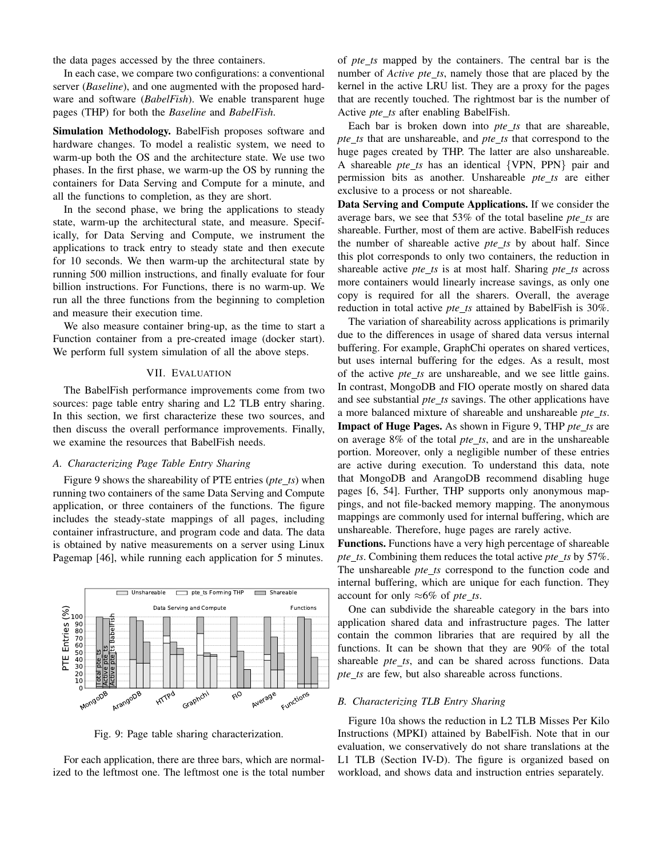the data pages accessed by the three containers.

In each case, we compare two configurations: a conventional server (*Baseline*), and one augmented with the proposed hardware and software (*BabelFish*). We enable transparent huge pages (THP) for both the *Baseline* and *BabelFish*.

Simulation Methodology. BabelFish proposes software and hardware changes. To model a realistic system, we need to warm-up both the OS and the architecture state. We use two phases. In the first phase, we warm-up the OS by running the containers for Data Serving and Compute for a minute, and all the functions to completion, as they are short.

In the second phase, we bring the applications to steady state, warm-up the architectural state, and measure. Specifically, for Data Serving and Compute, we instrument the applications to track entry to steady state and then execute for 10 seconds. We then warm-up the architectural state by running 500 million instructions, and finally evaluate for four billion instructions. For Functions, there is no warm-up. We run all the three functions from the beginning to completion and measure their execution time.

We also measure container bring-up, as the time to start a Function container from a pre-created image (docker start). We perform full system simulation of all the above steps.

## VII. EVALUATION

The BabelFish performance improvements come from two sources: page table entry sharing and L2 TLB entry sharing. In this section, we first characterize these two sources, and then discuss the overall performance improvements. Finally, we examine the resources that BabelFish needs.

# *A. Characterizing Page Table Entry Sharing*

Figure 9 shows the shareability of PTE entries (*pte ts*) when running two containers of the same Data Serving and Compute application, or three containers of the functions. The figure includes the steady-state mappings of all pages, including container infrastructure, and program code and data. The data is obtained by native measurements on a server using Linux Pagemap [46], while running each application for 5 minutes.



Fig. 9: Page table sharing characterization.

For each application, there are three bars, which are normalized to the leftmost one. The leftmost one is the total number

of *pte ts* mapped by the containers. The central bar is the number of *Active pte\_ts*, namely those that are placed by the kernel in the active LRU list. They are a proxy for the pages that are recently touched. The rightmost bar is the number of Active *pte ts* after enabling BabelFish.

Each bar is broken down into *pte ts* that are shareable, *pte ts* that are unshareable, and *pte ts* that correspond to the huge pages created by THP. The latter are also unshareable. A shareable *pte ts* has an identical {VPN, PPN} pair and permission bits as another. Unshareable *pte\_ts* are either exclusive to a process or not shareable.

Data Serving and Compute Applications. If we consider the average bars, we see that 53% of the total baseline *pte ts* are shareable. Further, most of them are active. BabelFish reduces the number of shareable active *pte ts* by about half. Since this plot corresponds to only two containers, the reduction in shareable active *pte ts* is at most half. Sharing *pte ts* across more containers would linearly increase savings, as only one copy is required for all the sharers. Overall, the average reduction in total active *pte ts* attained by BabelFish is 30%.

The variation of shareability across applications is primarily due to the differences in usage of shared data versus internal buffering. For example, GraphChi operates on shared vertices, but uses internal buffering for the edges. As a result, most of the active *pte ts* are unshareable, and we see little gains. In contrast, MongoDB and FIO operate mostly on shared data and see substantial *pte\_ts* savings. The other applications have a more balanced mixture of shareable and unshareable *pte ts*. Impact of Huge Pages. As shown in Figure 9, THP *pte ts* are on average 8% of the total *pte ts*, and are in the unshareable portion. Moreover, only a negligible number of these entries are active during execution. To understand this data, note that MongoDB and ArangoDB recommend disabling huge pages [6, 54]. Further, THP supports only anonymous mappings, and not file-backed memory mapping. The anonymous mappings are commonly used for internal buffering, which are unshareable. Therefore, huge pages are rarely active.

Functions. Functions have a very high percentage of shareable *pte ts*. Combining them reduces the total active *pte ts* by 57%. The unshareable *pte\_ts* correspond to the function code and internal buffering, which are unique for each function. They account for only ≈6% of *pte ts*.

One can subdivide the shareable category in the bars into application shared data and infrastructure pages. The latter contain the common libraries that are required by all the functions. It can be shown that they are 90% of the total shareable *pte\_ts*, and can be shared across functions. Data *pte ts* are few, but also shareable across functions.

# *B. Characterizing TLB Entry Sharing*

Figure 10a shows the reduction in L2 TLB Misses Per Kilo Instructions (MPKI) attained by BabelFish. Note that in our evaluation, we conservatively do not share translations at the L1 TLB (Section IV-D). The figure is organized based on workload, and shows data and instruction entries separately.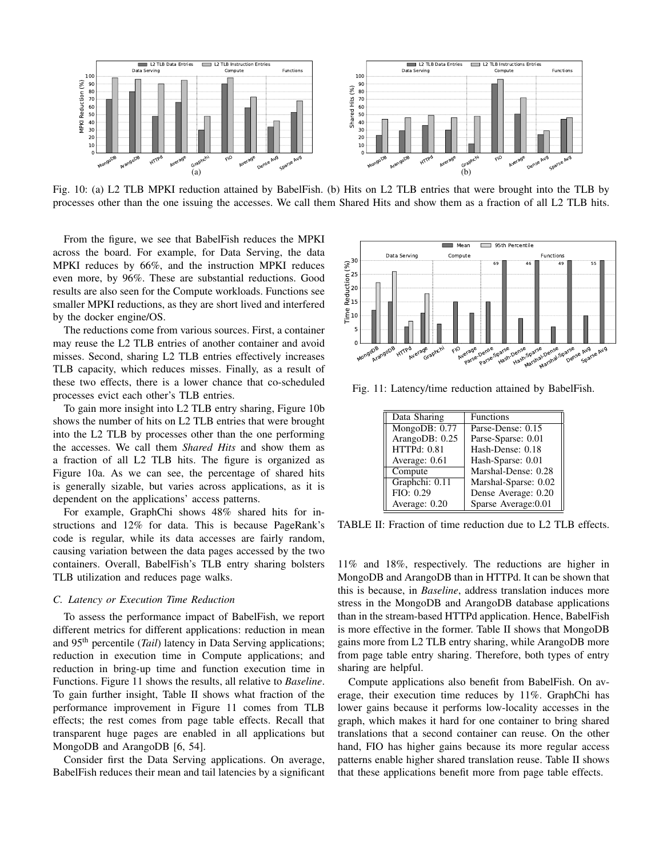

Fig. 10: (a) L2 TLB MPKI reduction attained by BabelFish. (b) Hits on L2 TLB entries that were brought into the TLB by processes other than the one issuing the accesses. We call them Shared Hits and show them as a fraction of all L2 TLB hits.

From the figure, we see that BabelFish reduces the MPKI across the board. For example, for Data Serving, the data MPKI reduces by 66%, and the instruction MPKI reduces even more, by 96%. These are substantial reductions. Good results are also seen for the Compute workloads. Functions see smaller MPKI reductions, as they are short lived and interfered by the docker engine/OS.

The reductions come from various sources. First, a container may reuse the L2 TLB entries of another container and avoid misses. Second, sharing L2 TLB entries effectively increases TLB capacity, which reduces misses. Finally, as a result of these two effects, there is a lower chance that co-scheduled processes evict each other's TLB entries.

To gain more insight into L2 TLB entry sharing, Figure 10b shows the number of hits on L2 TLB entries that were brought into the L2 TLB by processes other than the one performing the accesses. We call them *Shared Hits* and show them as a fraction of all L2 TLB hits. The figure is organized as Figure 10a. As we can see, the percentage of shared hits is generally sizable, but varies across applications, as it is dependent on the applications' access patterns.

For example, GraphChi shows 48% shared hits for instructions and 12% for data. This is because PageRank's code is regular, while its data accesses are fairly random, causing variation between the data pages accessed by the two containers. Overall, BabelFish's TLB entry sharing bolsters TLB utilization and reduces page walks.

## *C. Latency or Execution Time Reduction*

To assess the performance impact of BabelFish, we report different metrics for different applications: reduction in mean and 95th percentile (*Tail*) latency in Data Serving applications; reduction in execution time in Compute applications; and reduction in bring-up time and function execution time in Functions. Figure 11 shows the results, all relative to *Baseline*. To gain further insight, Table II shows what fraction of the performance improvement in Figure 11 comes from TLB effects; the rest comes from page table effects. Recall that transparent huge pages are enabled in all applications but MongoDB and ArangoDB [6, 54].

Consider first the Data Serving applications. On average, BabelFish reduces their mean and tail latencies by a significant



Fig. 11: Latency/time reduction attained by BabelFish.

| Data Sharing       | <b>Functions</b>     |
|--------------------|----------------------|
| MongoDB: 0.77      | Parse-Dense: 0.15    |
| ArangoDB: 0.25     | Parse-Sparse: 0.01   |
| <b>HTTPd: 0.81</b> | Hash-Dense: 0.18     |
| Average: 0.61      | Hash-Sparse: 0.01    |
| Compute            | Marshal-Dense: 0.28  |
| Graphchi: 0.11     | Marshal-Sparse: 0.02 |
| FIO: 0.29          | Dense Average: 0.20  |
| Average: 0.20      | Sparse Average: 0.01 |

TABLE II: Fraction of time reduction due to L2 TLB effects.

11% and 18%, respectively. The reductions are higher in MongoDB and ArangoDB than in HTTPd. It can be shown that this is because, in *Baseline*, address translation induces more stress in the MongoDB and ArangoDB database applications than in the stream-based HTTPd application. Hence, BabelFish is more effective in the former. Table II shows that MongoDB gains more from L2 TLB entry sharing, while ArangoDB more from page table entry sharing. Therefore, both types of entry sharing are helpful.

Compute applications also benefit from BabelFish. On average, their execution time reduces by 11%. GraphChi has lower gains because it performs low-locality accesses in the graph, which makes it hard for one container to bring shared translations that a second container can reuse. On the other hand, FIO has higher gains because its more regular access patterns enable higher shared translation reuse. Table II shows that these applications benefit more from page table effects.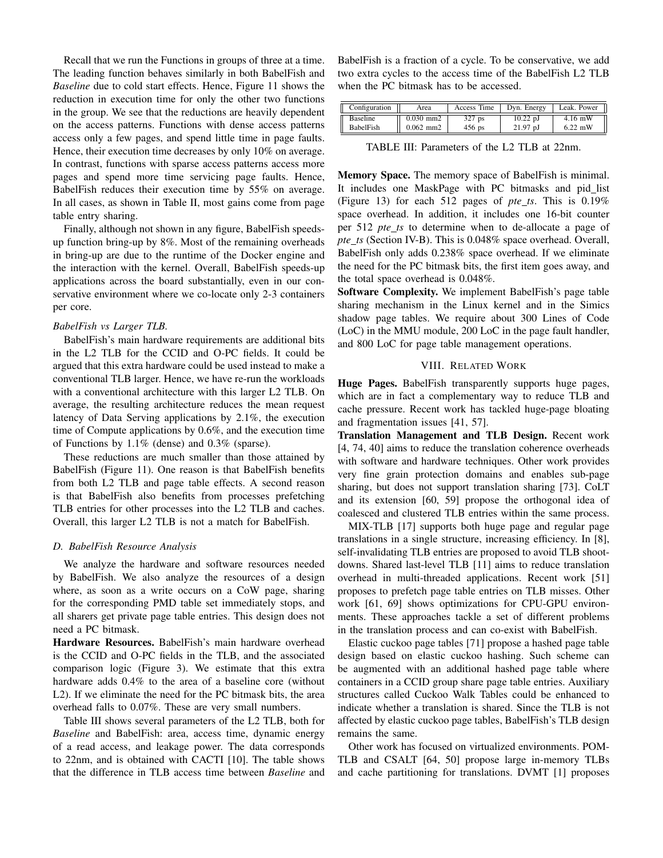Recall that we run the Functions in groups of three at a time. The leading function behaves similarly in both BabelFish and *Baseline* due to cold start effects. Hence, Figure 11 shows the reduction in execution time for only the other two functions in the group. We see that the reductions are heavily dependent on the access patterns. Functions with dense access patterns access only a few pages, and spend little time in page faults. Hence, their execution time decreases by only 10% on average. In contrast, functions with sparse access patterns access more pages and spend more time servicing page faults. Hence, BabelFish reduces their execution time by 55% on average. In all cases, as shown in Table II, most gains come from page table entry sharing.

Finally, although not shown in any figure, BabelFish speedsup function bring-up by 8%. Most of the remaining overheads in bring-up are due to the runtime of the Docker engine and the interaction with the kernel. Overall, BabelFish speeds-up applications across the board substantially, even in our conservative environment where we co-locate only 2-3 containers per core.

# *BabelFish vs Larger TLB.*

BabelFish's main hardware requirements are additional bits in the L2 TLB for the CCID and O-PC fields. It could be argued that this extra hardware could be used instead to make a conventional TLB larger. Hence, we have re-run the workloads with a conventional architecture with this larger L2 TLB. On average, the resulting architecture reduces the mean request latency of Data Serving applications by 2.1%, the execution time of Compute applications by 0.6%, and the execution time of Functions by 1.1% (dense) and 0.3% (sparse).

These reductions are much smaller than those attained by BabelFish (Figure 11). One reason is that BabelFish benefits from both L2 TLB and page table effects. A second reason is that BabelFish also benefits from processes prefetching TLB entries for other processes into the L2 TLB and caches. Overall, this larger L2 TLB is not a match for BabelFish.

# *D. BabelFish Resource Analysis*

We analyze the hardware and software resources needed by BabelFish. We also analyze the resources of a design where, as soon as a write occurs on a CoW page, sharing for the corresponding PMD table set immediately stops, and all sharers get private page table entries. This design does not need a PC bitmask.

Hardware Resources. BabelFish's main hardware overhead is the CCID and O-PC fields in the TLB, and the associated comparison logic (Figure 3). We estimate that this extra hardware adds 0.4% to the area of a baseline core (without L2). If we eliminate the need for the PC bitmask bits, the area overhead falls to 0.07%. These are very small numbers.

Table III shows several parameters of the L2 TLB, both for *Baseline* and BabelFish: area, access time, dynamic energy of a read access, and leakage power. The data corresponds to 22nm, and is obtained with CACTI [10]. The table shows that the difference in TLB access time between *Baseline* and

BabelFish is a fraction of a cycle. To be conservative, we add two extra cycles to the access time of the BabelFish L2 TLB when the PC bitmask has to be accessed.

| Configuration   | Area        | Access Time | Dvn. Energy | Leak. Power |
|-----------------|-------------|-------------|-------------|-------------|
| <b>Baseline</b> | $0.030$ mm2 | $327$ ps    | $10.22$ pJ  | $4.16$ mW   |
| BabelFish       | $0.062$ mm2 | $456$ ps    | $21.97$ pJ  | $6.22$ mW   |

TABLE III: Parameters of the L2 TLB at 22nm.

Memory Space. The memory space of BabelFish is minimal. It includes one MaskPage with PC bitmasks and pid\_list (Figure 13) for each 512 pages of *pte ts*. This is 0.19% space overhead. In addition, it includes one 16-bit counter per 512 *pte ts* to determine when to de-allocate a page of *pte ts* (Section IV-B). This is 0.048% space overhead. Overall, BabelFish only adds 0.238% space overhead. If we eliminate the need for the PC bitmask bits, the first item goes away, and the total space overhead is 0.048%.

Software Complexity. We implement BabelFish's page table sharing mechanism in the Linux kernel and in the Simics shadow page tables. We require about 300 Lines of Code (LoC) in the MMU module, 200 LoC in the page fault handler, and 800 LoC for page table management operations.

# VIII. RELATED WORK

Huge Pages. BabelFish transparently supports huge pages, which are in fact a complementary way to reduce TLB and cache pressure. Recent work has tackled huge-page bloating and fragmentation issues [41, 57].

Translation Management and TLB Design. Recent work [4, 74, 40] aims to reduce the translation coherence overheads with software and hardware techniques. Other work provides very fine grain protection domains and enables sub-page sharing, but does not support translation sharing [73]. CoLT and its extension [60, 59] propose the orthogonal idea of coalesced and clustered TLB entries within the same process.

MIX-TLB [17] supports both huge page and regular page translations in a single structure, increasing efficiency. In [8], self-invalidating TLB entries are proposed to avoid TLB shootdowns. Shared last-level TLB [11] aims to reduce translation overhead in multi-threaded applications. Recent work [51] proposes to prefetch page table entries on TLB misses. Other work [61, 69] shows optimizations for CPU-GPU environments. These approaches tackle a set of different problems in the translation process and can co-exist with BabelFish.

Elastic cuckoo page tables [71] propose a hashed page table design based on elastic cuckoo hashing. Such scheme can be augmented with an additional hashed page table where containers in a CCID group share page table entries. Auxiliary structures called Cuckoo Walk Tables could be enhanced to indicate whether a translation is shared. Since the TLB is not affected by elastic cuckoo page tables, BabelFish's TLB design remains the same.

Other work has focused on virtualized environments. POM-TLB and CSALT [64, 50] propose large in-memory TLBs and cache partitioning for translations. DVMT [1] proposes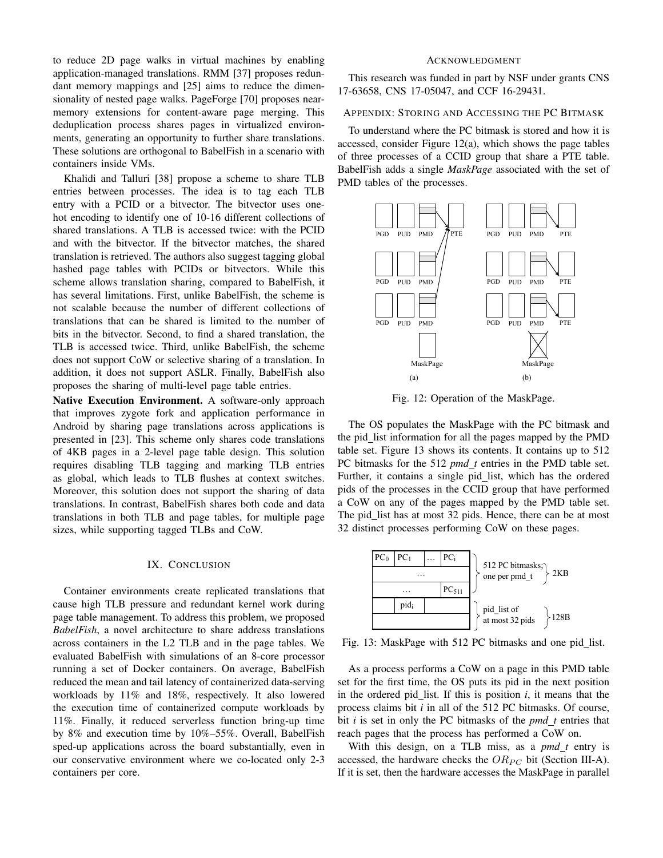to reduce 2D page walks in virtual machines by enabling application-managed translations. RMM [37] proposes redundant memory mappings and [25] aims to reduce the dimensionality of nested page walks. PageForge [70] proposes nearmemory extensions for content-aware page merging. This deduplication process shares pages in virtualized environments, generating an opportunity to further share translations. These solutions are orthogonal to BabelFish in a scenario with containers inside VMs.

Khalidi and Talluri [38] propose a scheme to share TLB entries between processes. The idea is to tag each TLB entry with a PCID or a bitvector. The bitvector uses onehot encoding to identify one of 10-16 different collections of shared translations. A TLB is accessed twice: with the PCID and with the bitvector. If the bitvector matches, the shared translation is retrieved. The authors also suggest tagging global hashed page tables with PCIDs or bitvectors. While this scheme allows translation sharing, compared to BabelFish, it has several limitations. First, unlike BabelFish, the scheme is not scalable because the number of different collections of translations that can be shared is limited to the number of bits in the bitvector. Second, to find a shared translation, the TLB is accessed twice. Third, unlike BabelFish, the scheme does not support CoW or selective sharing of a translation. In addition, it does not support ASLR. Finally, BabelFish also proposes the sharing of multi-level page table entries.

Native Execution Environment. A software-only approach that improves zygote fork and application performance in Android by sharing page translations across applications is presented in [23]. This scheme only shares code translations of 4KB pages in a 2-level page table design. This solution requires disabling TLB tagging and marking TLB entries as global, which leads to TLB flushes at context switches. Moreover, this solution does not support the sharing of data translations. In contrast, BabelFish shares both code and data translations in both TLB and page tables, for multiple page sizes, while supporting tagged TLBs and CoW.

## IX. CONCLUSION

Container environments create replicated translations that cause high TLB pressure and redundant kernel work during page table management. To address this problem, we proposed *BabelFish*, a novel architecture to share address translations across containers in the L2 TLB and in the page tables. We evaluated BabelFish with simulations of an 8-core processor running a set of Docker containers. On average, BabelFish reduced the mean and tail latency of containerized data-serving workloads by 11% and 18%, respectively. It also lowered the execution time of containerized compute workloads by 11%. Finally, it reduced serverless function bring-up time by 8% and execution time by 10%–55%. Overall, BabelFish sped-up applications across the board substantially, even in our conservative environment where we co-located only 2-3 containers per core.

# ACKNOWLEDGMENT

This research was funded in part by NSF under grants CNS 17-63658, CNS 17-05047, and CCF 16-29431.

# APPENDIX: STORING AND ACCESSING THE PC BITMASK

To understand where the PC bitmask is stored and how it is accessed, consider Figure 12(a), which shows the page tables of three processes of a CCID group that share a PTE table. BabelFish adds a single *MaskPage* associated with the set of PMD tables of the processes.



Fig. 12: Operation of the MaskPage.

The OS populates the MaskPage with the PC bitmask and the pid list information for all the pages mapped by the PMD table set. Figure 13 shows its contents. It contains up to 512 PC bitmasks for the 512 *pmd\_t* entries in the PMD table set. Further, it contains a single pid\_list, which has the ordered pids of the processes in the CCID group that have performed a CoW on any of the pages mapped by the PMD table set. The pid\_list has at most 32 pids. Hence, there can be at most 32 distinct processes performing CoW on these pages.



Fig. 13: MaskPage with 512 PC bitmasks and one pid\_list.

As a process performs a CoW on a page in this PMD table set for the first time, the OS puts its pid in the next position in the ordered pid list. If this is position *i*, it means that the process claims bit *i* in all of the 512 PC bitmasks. Of course, bit *i* is set in only the PC bitmasks of the *pmd t* entries that reach pages that the process has performed a CoW on.

With this design, on a TLB miss, as a  $pmd_t$  entry is accessed, the hardware checks the  $OR_{PC}$  bit (Section III-A). If it is set, then the hardware accesses the MaskPage in parallel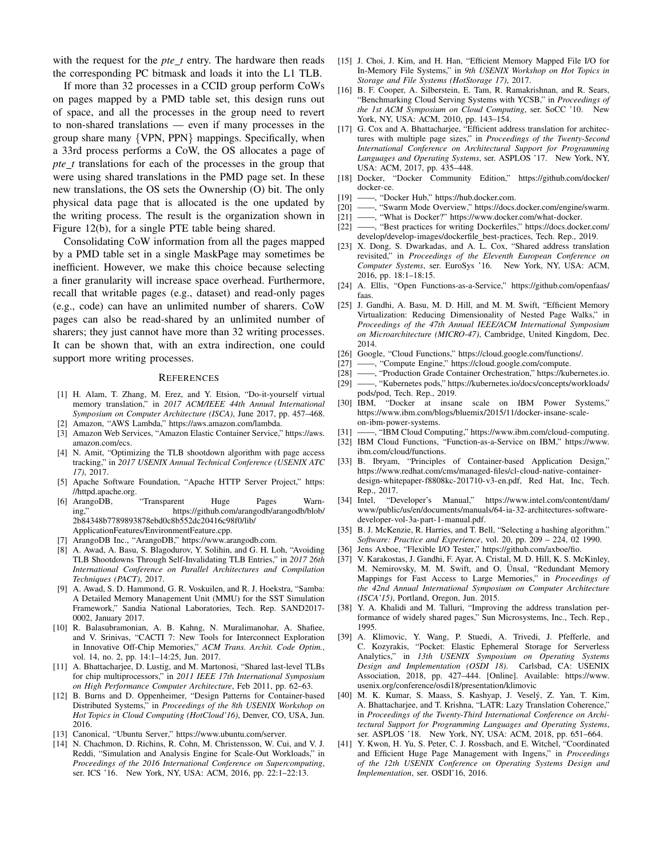with the request for the *pte\_t* entry. The hardware then reads the corresponding PC bitmask and loads it into the L1 TLB.

If more than 32 processes in a CCID group perform CoWs on pages mapped by a PMD table set, this design runs out of space, and all the processes in the group need to revert to non-shared translations — even if many processes in the group share many {VPN, PPN} mappings. Specifically, when a 33rd process performs a CoW, the OS allocates a page of *pte t* translations for each of the processes in the group that were using shared translations in the PMD page set. In these new translations, the OS sets the Ownership (O) bit. The only physical data page that is allocated is the one updated by the writing process. The result is the organization shown in Figure 12(b), for a single PTE table being shared.

Consolidating CoW information from all the pages mapped by a PMD table set in a single MaskPage may sometimes be inefficient. However, we make this choice because selecting a finer granularity will increase space overhead. Furthermore, recall that writable pages (e.g., dataset) and read-only pages (e.g., code) can have an unlimited number of sharers. CoW pages can also be read-shared by an unlimited number of sharers; they just cannot have more than 32 writing processes. It can be shown that, with an extra indirection, one could support more writing processes.

#### **REFERENCES**

- [1] H. Alam, T. Zhang, M. Erez, and Y. Etsion, "Do-it-yourself virtual memory translation," in *2017 ACM/IEEE 44th Annual International Symposium on Computer Architecture (ISCA)*, June 2017, pp. 457–468.
- [2] Amazon, "AWS Lambda," https://aws.amazon.com/lambda.
- [3] Amazon Web Services, "Amazon Elastic Container Service," https://aws. amazon.com/ecs.
- [4] N. Amit, "Optimizing the TLB shootdown algorithm with page access tracking," in *2017 USENIX Annual Technical Conference (USENIX ATC 17)*, 2017.
- [5] Apache Software Foundation, "Apache HTTP Server Project," https: //httpd.apache.org.
- [6] ArangoDB, "Transparent Huge Pages Warn-<br>ing," https://github.com/arangodb/arangodb/blob/ https://github.com/arangodb/arangodb/blob/ 2b84348b7789893878ebd0c8b552dc20416c98f0/lib/ ApplicationFeatures/EnvironmentFeature.cpp.
- [7] ArangoDB Inc., "ArangoDB," https://www.arangodb.com.
- [8] A. Awad, A. Basu, S. Blagodurov, Y. Solihin, and G. H. Loh, "Avoiding TLB Shootdowns Through Self-Invalidating TLB Entries," in *2017 26th International Conference on Parallel Architectures and Compilation Techniques (PACT)*, 2017.
- A. Awad, S. D. Hammond, G. R. Voskuilen, and R. J. Hoekstra, "Samba: A Detailed Memory Management Unit (MMU) for the SST Simulation Framework," Sandia National Laboratories, Tech. Rep. SAND2017- 0002, January 2017.
- [10] R. Balasubramonian, A. B. Kahng, N. Muralimanohar, A. Shafiee, and V. Srinivas, "CACTI 7: New Tools for Interconnect Exploration in Innovative Off-Chip Memories," *ACM Trans. Archit. Code Optim.*, vol. 14, no. 2, pp. 14:1–14:25, Jun. 2017.
- [11] A. Bhattacharjee, D. Lustig, and M. Martonosi, "Shared last-level TLBs for chip multiprocessors," in *2011 IEEE 17th International Symposium on High Performance Computer Architecture*, Feb 2011, pp. 62–63.
- [12] B. Burns and D. Oppenheimer, "Design Patterns for Container-based Distributed Systems," in *Proceedings of the 8th USENIX Workshop on Hot Topics in Cloud Computing (HotCloud'16)*, Denver, CO, USA, Jun. 2016.
- [13] Canonical, "Ubuntu Server," https://www.ubuntu.com/server.
- [14] N. Chachmon, D. Richins, R. Cohn, M. Christensson, W. Cui, and V. J. Reddi, "Simulation and Analysis Engine for Scale-Out Workloads," in *Proceedings of the 2016 International Conference on Supercomputing*, ser. ICS '16. New York, NY, USA: ACM, 2016, pp. 22:1–22:13.
- [15] J. Choi, J. Kim, and H. Han, "Efficient Memory Mapped File I/O for In-Memory File Systems," in *9th USENIX Workshop on Hot Topics in Storage and File Systems (HotStorage 17)*, 2017.
- [16] B. F. Cooper, A. Silberstein, E. Tam, R. Ramakrishnan, and R. Sears, "Benchmarking Cloud Serving Systems with YCSB," in *Proceedings of the 1st ACM Symposium on Cloud Computing*, ser. SoCC '10. New York, NY, USA: ACM, 2010, pp. 143–154.
- [17] G. Cox and A. Bhattacharjee, "Efficient address translation for architectures with multiple page sizes," in *Proceedings of the Twenty-Second International Conference on Architectural Support for Programming Languages and Operating Systems*, ser. ASPLOS '17. New York, NY, USA: ACM, 2017, pp. 435–448.
- [18] Docker, "Docker Community Edition," https://github.com/docker/ docker-ce.
- [19] ——, "Docker Hub," https://hub.docker.com.
- [20] ——, "Swarm Mode Overview," https://docs.docker.com/engine/swarm.
- [21] ——, "What is Docker?" https://www.docker.com/what-docker.
- [22] ——, "Best practices for writing Dockerfiles," https://docs.docker.com/ develop/develop-images/dockerfile best-practices, Tech. Rep., 2019.
- [23] X. Dong, S. Dwarkadas, and A. L. Cox, "Shared address translation revisited," in *Proceedings of the Eleventh European Conference on Computer Systems*, ser. EuroSys '16. New York, NY, USA: ACM, 2016, pp. 18:1–18:15.
- [24] A. Ellis, "Open Functions-as-a-Service," https://github.com/openfaas/ faas.
- [25] J. Gandhi, A. Basu, M. D. Hill, and M. M. Swift, "Efficient Memory Virtualization: Reducing Dimensionality of Nested Page Walks," in *Proceedings of the 47th Annual IEEE/ACM International Symposium on Microarchitecture (MICRO-47)*, Cambridge, United Kingdom, Dec. 2014.
- [26] Google, "Cloud Functions," https://cloud.google.com/functions/.<br>[27] ——, "Compute Engine," https://cloud.google.com/compute.
- -, "Compute Engine," https://cloud.google.com/compute.
- [28] ——, "Production Grade Container Orchestration," https://kubernetes.io.
- [29] ——, "Kubernetes pods," https://kubernetes.io/docs/concepts/workloads/ pods/pod, Tech. Rep., 2019.
- [30] IBM, "Docker at insane scale on IBM Power Systems," https://www.ibm.com/blogs/bluemix/2015/11/docker-insane-scaleon-ibm-power-systems.
- [31] ——, "IBM Cloud Computing," https://www.ibm.com/cloud-computing.
- [32] IBM Cloud Functions, "Function-as-a-Service on IBM," https://www. ibm.com/cloud/functions.
- [33] B. Ibryam, "Principles of Container-based Application Design," https://www.redhat.com/cms/managed-files/cl-cloud-native-containerdesign-whitepaper-f8808kc-201710-v3-en.pdf, Red Hat, Inc, Tech. Rep., 2017.<br>[34] Intel, "Developer's Manual,"
- https://www.intel.com/content/dam/ www/public/us/en/documents/manuals/64-ia-32-architectures-softwaredeveloper-vol-3a-part-1-manual.pdf.
- [35] B. J. McKenzie, R. Harries, and T. Bell, "Selecting a hashing algorithm." *Software: Practice and Experience*, vol. 20, pp. 209 – 224, 02 1990.
- [36] Jens Axboe, "Flexible I/O Tester," https://github.com/axboe/fio.
- [37] V. Karakostas, J. Gandhi, F. Ayar, A. Cristal, M. D. Hill, K. S. McKinley, M. Nemirovsky, M. M. Swift, and O. Ünsal, "Redundant Memory Mappings for Fast Access to Large Memories," in *Proceedings of the 42nd Annual International Symposium on Computer Architecture (ISCA'15)*, Portland, Oregon, Jun. 2015.
- [38] Y. A. Khalidi and M. Talluri, "Improving the address translation performance of widely shared pages," Sun Microsystems, Inc., Tech. Rep., 1995.
- [39] A. Klimovic, Y. Wang, P. Stuedi, A. Trivedi, J. Pfefferle, and C. Kozyrakis, "Pocket: Elastic Ephemeral Storage for Serverless Analytics," in *13th USENIX Symposium on Operating Systems Design and Implementation (OSDI 18)*. Carlsbad, CA: USENIX Association, 2018, pp. 427–444. [Online]. Available: https://www. usenix.org/conference/osdi18/presentation/klimovic
- [40] M. K. Kumar, S. Maass, S. Kashyap, J. Vesely, Z. Yan, T. Kim, ´ A. Bhattacharjee, and T. Krishna, "LATR: Lazy Translation Coherence," in *Proceedings of the Twenty-Third International Conference on Architectural Support for Programming Languages and Operating Systems*, ser. ASPLOS '18. New York, NY, USA: ACM, 2018, pp. 651–664.
- [41] Y. Kwon, H. Yu, S. Peter, C. J. Rossbach, and E. Witchel, "Coordinated and Efficient Huge Page Management with Ingens," in *Proceedings of the 12th USENIX Conference on Operating Systems Design and Implementation*, ser. OSDI'16, 2016.